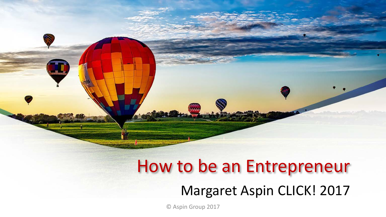# How to be an Entrepreneur

#### Margaret Aspin CLICK! 2017

© Aspin Group 2017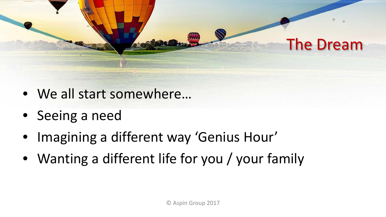

- We all start somewhere…
- Seeing a need
- Imagining a different way 'Genius Hour'
- Wanting a different life for you / your family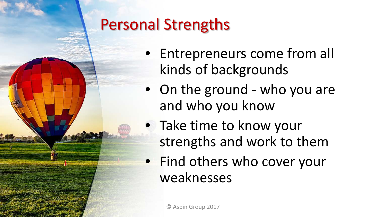### Personal Strengths

- Entrepreneurs come from all kinds of backgrounds
- On the ground who you are and who you know
- Take time to know your strengths and work to them
- Find others who cover your weaknesses

© Aspin Group 2017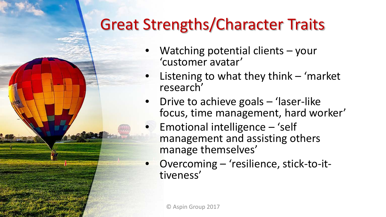### Great Strengths/Character Traits

- Watching potential clients your 'customer avatar'
- Listening to what they think  $-$  'market research'
- Drive to achieve goals 'laser-like focus, time management, hard worker'
	- Emotional intelligence 'self management and assisting others manage themselves'
- Overcoming 'resilience, stick-to-it-<br>tiveness'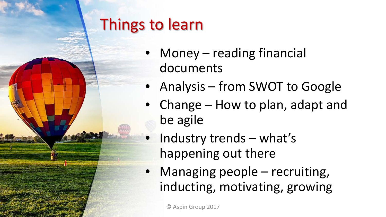

## Things to learn

- Money reading financial documents
- Analysis from SWOT to Google
- Change How to plan, adapt and be agile
- Industry trends what's happening out there
- Managing people recruiting, inducting, motivating, growing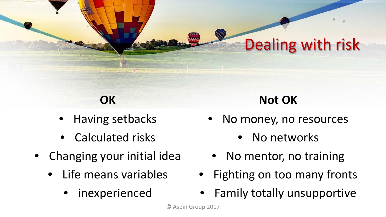### Dealing with risk

#### **OK**

- Having setbacks
- Calculated risks
- Changing your initial idea
	- Life means variables
		- inexperienced

#### **Not OK**

- No money, no resources
	- No networks
- No mentor, no training
- Fighting on too many fronts
- Family totally unsupportive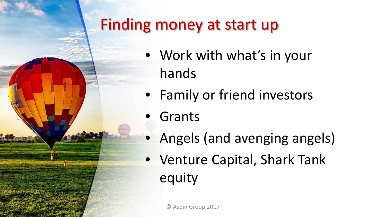

### Finding money at start up

- Work with what's in your hands
- Family or friend investors
- **Grants**
- Angels (and avenging angels)
- Venture Capital, Shark Tank equity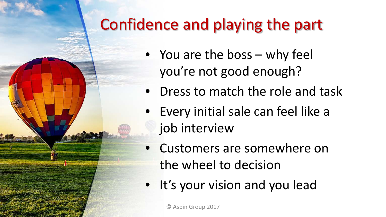### Confidence and playing the part

- You are the boss why feel you're not good enough?
- Dress to match the role and task
- Every initial sale can feel like a job interview
- Customers are somewhere on the wheel to decision
- It's your vision and you lead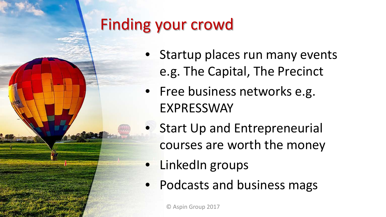

### Finding your crowd

- Startup places run many events e.g. The Capital, The Precinct
- Free business networks e.g. EXPRESSWAY
- **Start Up and Entrepreneurial** courses are worth the money
- LinkedIn groups
- Podcasts and business mags